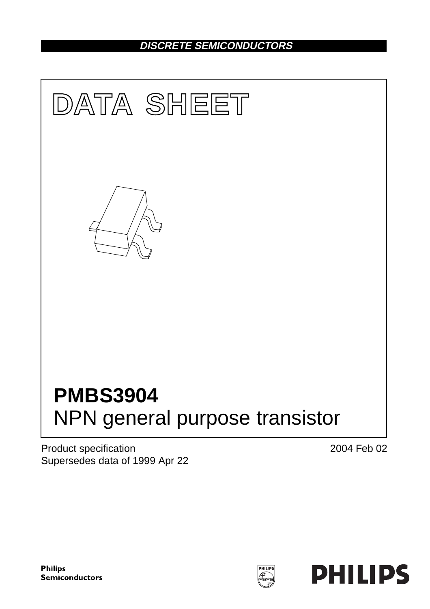## **DISCRETE SEMICONDUCTORS**



Product specification Supersedes data of 1999 Apr 22 2004 Feb 02

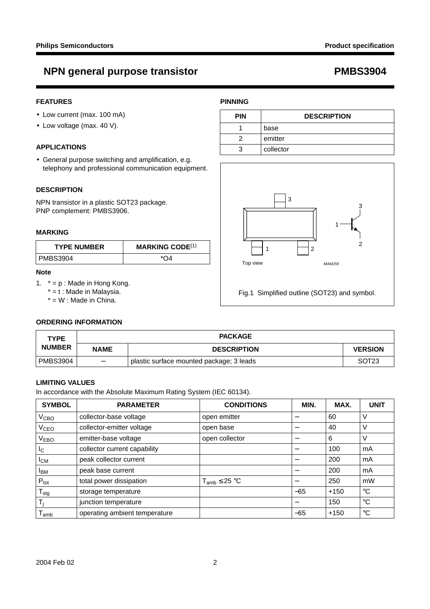## **NPN general purpose transistor example 20 and 20 and 20 and 20 and 20 and 20 and 20 and 20 and 20 and 20 and 20 and 20 and 20 and 20 and 20 and 20 and 20 and 20 and 20 and 20 and 20 and 20 and 20 and 20 and 20 and 20 and**

#### **FEATURES**

- Low current (max. 100 mA)
- Low voltage (max. 40 V).

#### **APPLICATIONS**

• General purpose switching and amplification, e.g. telephony and professional communication equipment.

#### **DESCRIPTION**

NPN transistor in a plastic SOT23 package. PNP complement: PMBS3906.

#### **MARKING**

| <b>TYPE NUMBER</b> | <b>MARKING CODE</b> $(1)$ |  |
|--------------------|---------------------------|--|
| l PMBS3904         |                           |  |

#### **Note**

<span id="page-1-0"></span>1.  $* = p$ : Made in Hong Kong.

 $* = t$  : Made in Malaysia.

 $* = W$  : Made in China.

#### **ORDERING INFORMATION**

| <b>TYPE</b>   |             | <b>PACKAGE</b>                           |                   |  |
|---------------|-------------|------------------------------------------|-------------------|--|
| <b>NUMBER</b> | <b>NAME</b> | <b>DESCRIPTION</b>                       | <b>VERSION</b>    |  |
| PMBS3904      |             | plastic surface mounted package; 3 leads | SOT <sub>23</sub> |  |

#### **LIMITING VALUES**

In accordance with the Absolute Maximum Rating System (IEC 60134).

| <b>SYMBOL</b>              | <b>PARAMETER</b>              | <b>CONDITIONS</b>    | MIN.                     | MAX.   | <b>UNIT</b> |
|----------------------------|-------------------------------|----------------------|--------------------------|--------|-------------|
| V <sub>CBO</sub>           | collector-base voltage        | open emitter         | —                        | 60     | ν           |
| V <sub>CEO</sub>           | collector-emitter voltage     | open base            | —                        | 40     | V           |
| $\rm V_{EBO}$              | emitter-base voltage          | open collector       |                          | 6      | V           |
| I <sub>C</sub>             | collector current capability  |                      | —                        | 100    | mA          |
| <b>I</b> CM                | peak collector current        |                      |                          | 200    | mA          |
| <b>I</b> BM                | peak base current             |                      |                          | 200    | mA          |
| $P_{\text{tot}}$           | total power dissipation       | $T_{amb} \leq 25 °C$ | $\overline{\phantom{m}}$ | 250    | mW          |
| ${\mathsf T}_{\text{stg}}$ | storage temperature           |                      | $-65$                    | $+150$ | $^{\circ}C$ |
| Τ,                         | junction temperature          |                      |                          | 150    | $^{\circ}C$ |
| l amb                      | operating ambient temperature |                      | $-65$                    | $+150$ | $^{\circ}C$ |

### **PINNING**

| <b>PIN</b> | <b>DESCRIPTION</b> |
|------------|--------------------|
|            | base               |
| っ          | emitter            |
| 3          | collector          |

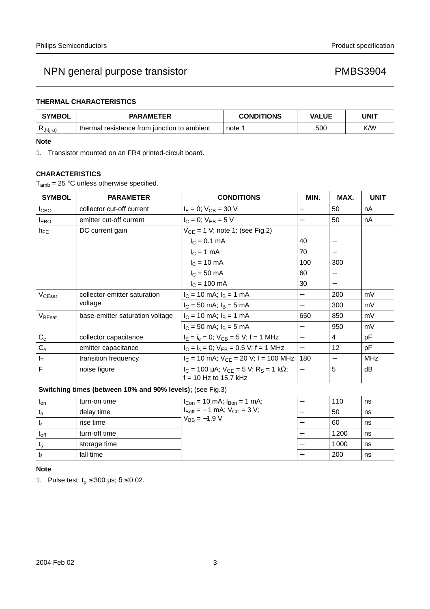## NPN general purpose transistor example that the example of the PMBS3904

### **THERMAL CHARACTERISTICS**

| <b>SYMBOL</b> | <b>PARAMETER</b>                              | <b>CONDITIONS</b> | <b>VALUE</b> | <b>UNIT</b> |
|---------------|-----------------------------------------------|-------------------|--------------|-------------|
| $Rth(i-a)$    | I thermal resistance from iunction to ambient | note              | 500          | K/W         |

#### **Note**

<span id="page-2-0"></span>1. Transistor mounted on an FR4 printed-circuit board.

#### **CHARACTERISTICS**

 $T_{amb}$  = 25 °C unless otherwise specified.

| <b>SYMBOL</b>                                             | <b>PARAMETER</b>                | <b>CONDITIONS</b>                                                                 | MIN.                     | MAX.                     | <b>UNIT</b> |
|-----------------------------------------------------------|---------------------------------|-----------------------------------------------------------------------------------|--------------------------|--------------------------|-------------|
| I <sub>СВО</sub>                                          | collector cut-off current       | $I_E = 0$ ; $V_{CB} = 30$ V                                                       |                          | 50                       | nA          |
| <b>I</b> <sub>EBO</sub>                                   | emitter cut-off current         | $I_C = 0$ ; $V_{EB} = 5 V$                                                        | $\overline{\phantom{0}}$ | 50                       | nA          |
| $h_{FE}$                                                  | DC current gain                 | $V_{CE} = 1$ V; note 1; (see Fig.2)                                               |                          |                          |             |
|                                                           |                                 | $I_C = 0.1$ mA                                                                    | 40                       |                          |             |
|                                                           |                                 | $I_C = 1$ mA                                                                      | 70                       |                          |             |
|                                                           |                                 | $IC = 10 mA$                                                                      | 100                      | 300                      |             |
|                                                           |                                 | $I_{C} = 50$ mA                                                                   | 60                       |                          |             |
|                                                           |                                 | $I_C = 100$ mA                                                                    | 30                       |                          |             |
| V <sub>CEsat</sub>                                        | collector-emitter saturation    | $I_C = 10$ mA; $I_B = 1$ mA                                                       |                          | 200                      | mV          |
|                                                           | voltage                         | $I_C = 50$ mA; $I_B = 5$ mA                                                       |                          | 300                      | mV          |
| V <sub>BEsat</sub>                                        | base-emitter saturation voltage | $I_C = 10$ mA; $I_B = 1$ mA                                                       | 650                      | 850                      | mV          |
|                                                           |                                 | $I_C = 50$ mA; $I_B = 5$ mA                                                       |                          | 950                      | mV          |
| $C_c$                                                     | collector capacitance           | $I_E = I_e = 0$ ; $V_{CB} = 5$ V; f = 1 MHz                                       | $\equiv$                 | 4                        | pF          |
| $C_{\rm e}$                                               | emitter capacitance             | $I_C = I_c = 0$ ; $V_{EB} = 0.5$ V; f = 1 MHz                                     | $\equiv$                 | 12                       | pF          |
| $f_T$                                                     | transition frequency            | $I_C = 10$ mA; $V_{CE} = 20$ V; f = 100 MHz                                       | 180                      | $\overline{\phantom{m}}$ | <b>MHz</b>  |
| $\overline{\mathsf{F}}$                                   | noise figure                    | $I_C$ = 100 µA; $V_{CF}$ = 5 V; R <sub>S</sub> = 1 kΩ;<br>$f = 10$ Hz to 15.7 kHz |                          | 5                        | dB          |
| Switching times (between 10% and 90% levels); (see Fig.3) |                                 |                                                                                   |                          |                          |             |
| $t_{on}$                                                  | turn-on time                    | $I_{Con}$ = 10 mA; $I_{Bon}$ = 1 mA;                                              | $\overline{\phantom{0}}$ | 110                      | ns          |
| $\mathfrak{t}_{\sf d}$                                    | delay time                      | $I_{\text{Roff}} = -1 \text{ mA}$ ; $V_{\text{CC}} = 3 \text{ V}$ ;               |                          | 50                       | ns          |
| $t_r$                                                     | rise time                       | $V_{BB} = -1.9 V$                                                                 |                          | 60                       | ns          |
| $t_{off}$                                                 | turn-off time                   |                                                                                   |                          | 1200                     | ns          |
| $\mathfrak{t}_\mathsf{s}$                                 | storage time                    |                                                                                   |                          | 1000                     | ns          |
| $t_{\rm f}$                                               | fall time                       |                                                                                   |                          | 200                      | ns          |

#### **Note**

<span id="page-2-1"></span>1. Pulse test:  $t_p \le 300 \mu s$ ;  $\delta \le 0.02$ .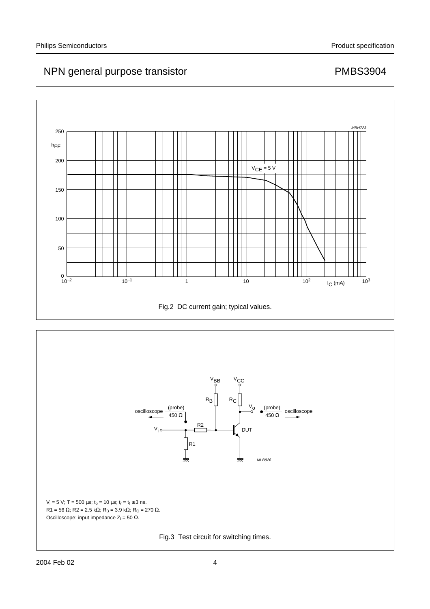## NPN general purpose transistor example that the example of the PMBS3904



<span id="page-3-1"></span><span id="page-3-0"></span>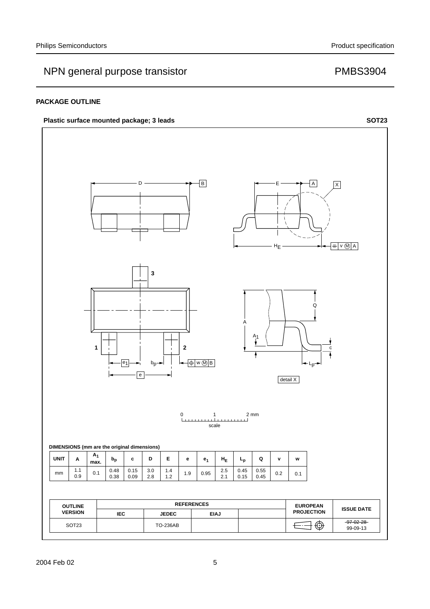## NPN general purpose transistor example that the PMBS3904

#### **PACKAGE OUTLINE**

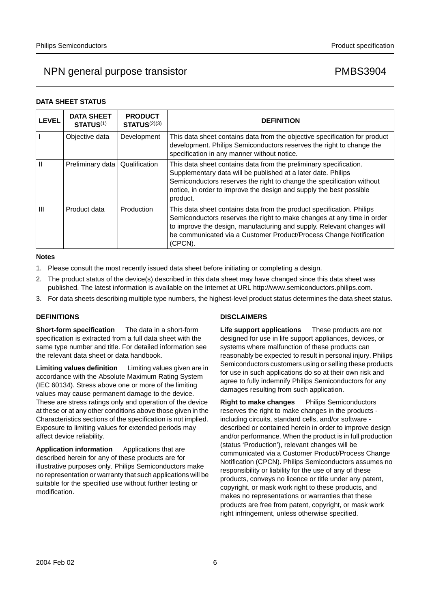## NPN general purpose transistor example that the PMBS3904

#### **DATA SHEET STATUS**

| <b>LEVEL</b> | <b>DATA SHEET</b><br><b>STATUS(1)</b> | <b>PRODUCT</b><br><b>STATUS(2)(3)</b> | <b>DEFINITION</b>                                                                                                                                                                                                                                                                                          |
|--------------|---------------------------------------|---------------------------------------|------------------------------------------------------------------------------------------------------------------------------------------------------------------------------------------------------------------------------------------------------------------------------------------------------------|
|              | Objective data                        | Development                           | This data sheet contains data from the objective specification for product<br>development. Philips Semiconductors reserves the right to change the<br>specification in any manner without notice.                                                                                                          |
|              | Preliminary data                      | Qualification                         | This data sheet contains data from the preliminary specification.<br>Supplementary data will be published at a later date. Philips<br>Semiconductors reserves the right to change the specification without<br>notice, in order to improve the design and supply the best possible<br>product.             |
| Ш            | Product data                          | Production                            | This data sheet contains data from the product specification. Philips<br>Semiconductors reserves the right to make changes at any time in order<br>to improve the design, manufacturing and supply. Relevant changes will<br>be communicated via a Customer Product/Process Change Notification<br>(CPCN). |

#### **Notes**

- <span id="page-5-0"></span>1. Please consult the most recently issued data sheet before initiating or completing a design.
- <span id="page-5-1"></span>2. The product status of the device(s) described in this data sheet may have changed since this data sheet was published. The latest information is available on the Internet at URL http://www.semiconductors.philips.com.
- <span id="page-5-2"></span>3. For data sheets describing multiple type numbers, the highest-level product status determines the data sheet status.

#### **DEFINITIONS**

**Short-form specification** — The data in a short-form specification is extracted from a full data sheet with the same type number and title. For detailed information see the relevant data sheet or data handbook.

**Limiting values definition** - Limiting values given are in accordance with the Absolute Maximum Rating System (IEC 60134). Stress above one or more of the limiting values may cause permanent damage to the device. These are stress ratings only and operation of the device at these or at any other conditions above those given in the Characteristics sections of the specification is not implied. Exposure to limiting values for extended periods may affect device reliability.

Application information Applications that are described herein for any of these products are for illustrative purposes only. Philips Semiconductors make no representation or warranty that such applications will be suitable for the specified use without further testing or modification.

### **DISCLAIMERS**

**Life support applications** - These products are not designed for use in life support appliances, devices, or systems where malfunction of these products can reasonably be expected to result in personal injury. Philips Semiconductors customers using or selling these products for use in such applications do so at their own risk and agree to fully indemnify Philips Semiconductors for any damages resulting from such application.

**Right to make changes** - Philips Semiconductors reserves the right to make changes in the products including circuits, standard cells, and/or software described or contained herein in order to improve design and/or performance. When the product is in full production (status 'Production'), relevant changes will be communicated via a Customer Product/Process Change Notification (CPCN). Philips Semiconductors assumes no responsibility or liability for the use of any of these products, conveys no licence or title under any patent, copyright, or mask work right to these products, and makes no representations or warranties that these products are free from patent, copyright, or mask work right infringement, unless otherwise specified.